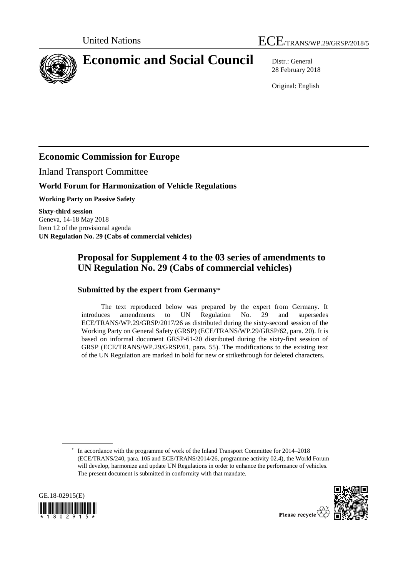



# **Economic and Social Council** Distr.: General

28 February 2018

Original: English

# **Economic Commission for Europe**

Inland Transport Committee

## **World Forum for Harmonization of Vehicle Regulations**

**Working Party on Passive Safety**

**Sixty-third session** Geneva, 14-18 May 2018 Item 12 of the provisional agenda **UN Regulation No. 29 (Cabs of commercial vehicles)**

# **Proposal for Supplement 4 to the 03 series of amendments to UN Regulation No. 29 (Cabs of commercial vehicles)**

### **Submitted by the expert from Germany**\*

The text reproduced below was prepared by the expert from Germany. It introduces amendments to UN Regulation No. 29 and supersedes ECE/TRANS/WP.29/GRSP/2017/26 as distributed during the sixty-second session of the Working Party on General Safety (GRSP) (ECE/TRANS/WP.29/GRSP/62, para. 20). It is based on informal document GRSP-61-20 distributed during the sixty-first session of GRSP (ECE/TRANS/WP.29/GRSP/61, para. 55). The modifications to the existing text of the UN Regulation are marked in bold for new or strikethrough for deleted characters.

<sup>\*</sup> In accordance with the programme of work of the Inland Transport Committee for 2014–2018 (ECE/TRANS/240, para. 105 and ECE/TRANS/2014/26, programme activity 02.4), the World Forum will develop, harmonize and update UN Regulations in order to enhance the performance of vehicles. The present document is submitted in conformity with that mandate.





Please recycle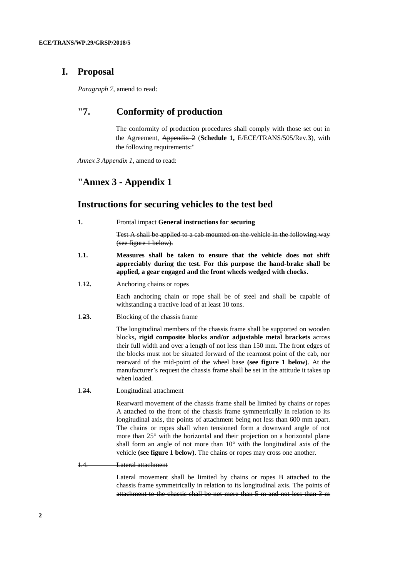## **I. Proposal**

*Paragraph 7*, amend to read:

## **"7. Conformity of production**

The conformity of production procedures shall comply with those set out in the Agreement, Appendix 2 (**Schedule 1,** E/ECE/TRANS/505/Rev.**3**), with the following requirements:"

*Annex 3 Appendix 1*, amend to read:

### **"Annex 3 - Appendix 1**

#### **Instructions for securing vehicles to the test bed**

**1.** Frontal impact **General instructions for securing**

Test A shall be applied to a cab mounted on the vehicle in the following way (see figure 1 below).

- **1.1. Measures shall be taken to ensure that the vehicle does not shift appreciably during the test. For this purpose the hand-brake shall be applied, a gear engaged and the front wheels wedged with chocks.**
- 1.1**2.** Anchoring chains or ropes

Each anchoring chain or rope shall be of steel and shall be capable of withstanding a tractive load of at least 10 tons.

1.2**3.** Blocking of the chassis frame

The longitudinal members of the chassis frame shall be supported on wooden blocks**, rigid composite blocks and/or adjustable metal brackets** across their full width and over a length of not less than 150 mm. The front edges of the blocks must not be situated forward of the rearmost point of the cab, nor rearward of the mid-point of the wheel base **(see figure 1 below)**. At the manufacturer's request the chassis frame shall be set in the attitude it takes up when loaded.

1.3**4.** Longitudinal attachment

Rearward movement of the chassis frame shall be limited by chains or ropes A attached to the front of the chassis frame symmetrically in relation to its longitudinal axis, the points of attachment being not less than 600 mm apart. The chains or ropes shall when tensioned form a downward angle of not more than 25° with the horizontal and their projection on a horizontal plane shall form an angle of not more than 10° with the longitudinal axis of the vehicle **(see figure 1 below)**. The chains or ropes may cross one another.

1.4. Lateral attachment

Lateral movement shall be limited by chains or ropes В attached to the chassis frame symmetrically in relation to its longitudinal axis. The points of attachment to the chassis shall be not more than 5 m and not less than 3 m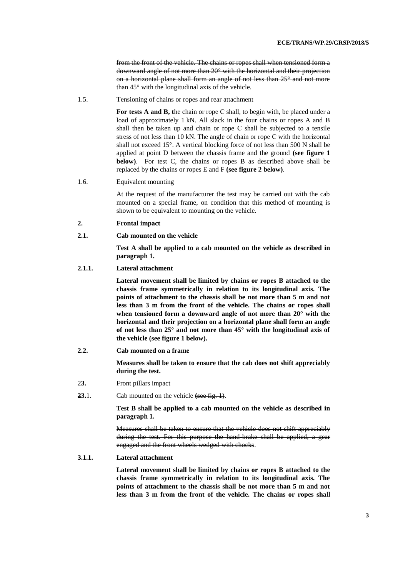from the front of the vehicle. The chains or ropes shall when tensioned form a downward angle of not more than 20° with the horizontal and their projection on a horizontal plane shall form an angle of not less than 25° and not more than 45° with the longitudinal axis of the vehicle.

1.5. Tensioning of chains or ropes and rear attachment

For tests A and B, the chain or rope C shall, to begin with, be placed under a load of approximately 1 kN. All slack in the four chains or ropes A and В shall then be taken up and chain or rope С shall be subjected to a tensile stress of not less than 10 kN. The angle of chain or rope С with the horizontal shall not exceed 15°. A vertical blocking force of not less than 500 N shall be applied at point D between the chassis frame and the ground **(see figure 1 below)**. For test C, the chains or ropes B as described above shall be replaced by the chains or ropes E and F **(see figure 2 below)**.

1.6. Equivalent mounting

At the request of the manufacturer the test may be carried out with the cab mounted on a special frame, on condition that this method of mounting is shown to be equivalent to mounting on the vehicle.

- **2. Frontal impact**
- **2.1. Cab mounted on the vehicle**

**Test A shall be applied to a cab mounted on the vehicle as described in paragraph 1.** 

#### **2.1.1. Lateral attachment**

**Lateral movement shall be limited by chains or ropes В attached to the chassis frame symmetrically in relation to its longitudinal axis. The points of attachment to the chassis shall be not more than 5 m and not less than 3 m from the front of the vehicle. The chains or ropes shall when tensioned form a downward angle of not more than 20° with the horizontal and their projection on a horizontal plane shall form an angle of not less than 25° and not more than 45° with the longitudinal axis of the vehicle (see figure 1 below).**

**2.2. Cab mounted on a frame**

**Measures shall be taken to ensure that the cab does not shift appreciably during the test.**

- 2**3.** Front pillars impact
- **23.**1. Cab mounted on the vehicle (see fig. 1).

**Test B shall be applied to a cab mounted on the vehicle as described in paragraph 1.**

Measures shall be taken to ensure that the vehicle does not shift appreciably during the test. For this purpose the hand-brake shall be applied, a gear engaged and the front wheels wedged with chocks.

#### **3.1.1. Lateral attachment**

**Lateral movement shall be limited by chains or ropes В attached to the chassis frame symmetrically in relation to its longitudinal axis. The points of attachment to the chassis shall be not more than 5 m and not less than 3 m from the front of the vehicle. The chains or ropes shall**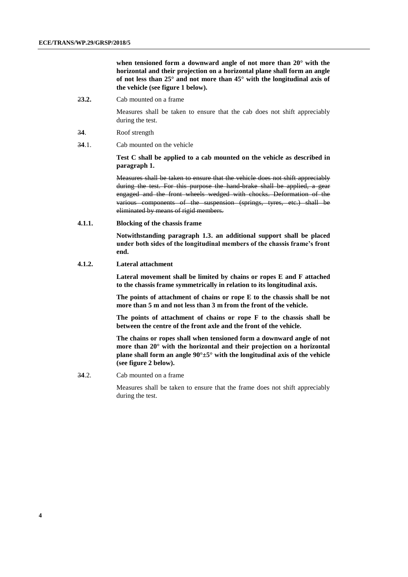**when tensioned form a downward angle of not more than 20° with the horizontal and their projection on a horizontal plane shall form an angle of not less than 25° and not more than 45° with the longitudinal axis of the vehicle (see figure 1 below).**

2**3.2.** Cab mounted on a frame

Measures shall be taken to ensure that the cab does not shift appreciably during the test.

- 3**4**. Roof strength
- 3**4**.1. Cab mounted on the vehicle

**Test C shall be applied to a cab mounted on the vehicle as described in paragraph 1.**

Measures shall be taken to ensure that the vehicle does not shift appreciably during the test. For this purpose the hand-brake shall be applied, a gear engaged and the front wheels wedged with chocks. Deformation of the various components of the suspension (springs, tyres, etc.) shall be eliminated by means of rigid members.

**4.1.1. Blocking of the chassis frame** 

**Notwithstanding paragraph 1.3. an additional support shall be placed under both sides of the longitudinal members of the chassis frame's front end.**

**4.1.2. Lateral attachment**

**Lateral movement shall be limited by chains or ropes E and F attached to the chassis frame symmetrically in relation to its longitudinal axis.** 

**The points of attachment of chains or rope E to the chassis shall be not more than 5 m and not less than 3 m from the front of the vehicle.** 

**The points of attachment of chains or rope F to the chassis shall be between the centre of the front axle and the front of the vehicle.**

**The chains or ropes shall when tensioned form a downward angle of not more than 20° with the horizontal and their projection on a horizontal plane shall form an angle 90°±5° with the longitudinal axis of the vehicle (see figure 2 below).**

3**4**.2. Cab mounted on a frame

Measures shall be taken to ensure that the frame does not shift appreciably during the test.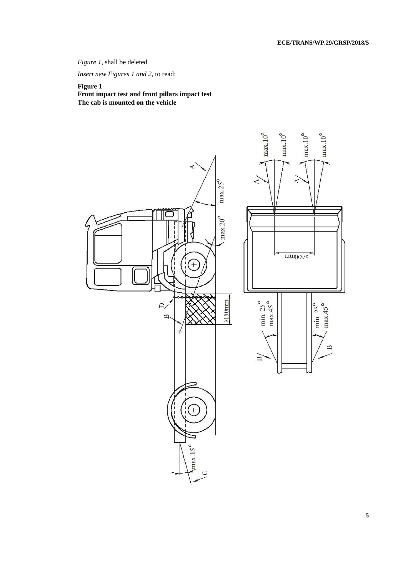*Figure 1*, shall be deleted

*Insert new Figures 1 and 2*, to read:

#### **Figure 1**

**Front impact test and front pillars impact test The cab is mounted on the vehicle**

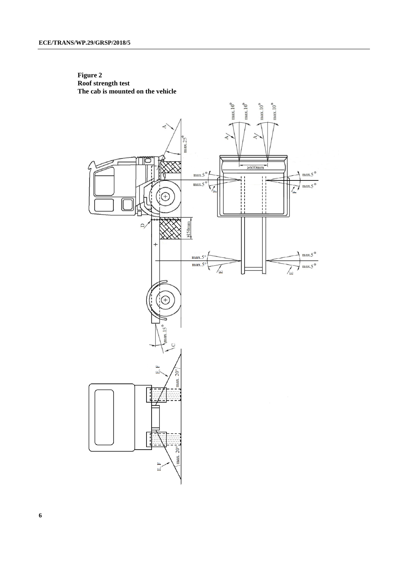

**Figure 2 Roof strength test The cab is mounted on the vehicle**